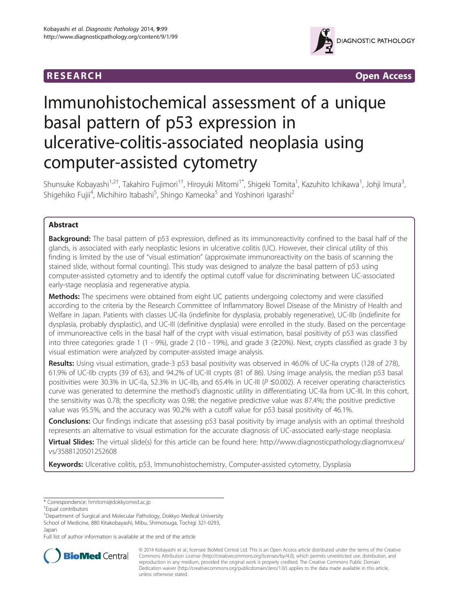

**RESEARCH CHINESEARCH CHINESEARCH CHINESE** 

# Immunohistochemical assessment of a unique basal pattern of p53 expression in ulcerative-colitis-associated neoplasia using computer-assisted cytometry

Shunsuke Kobayashi<sup>1,2†</sup>, Takahiro Fujimori<sup>1†</sup>, Hiroyuki Mitomi<sup>1\*</sup>, Shigeki Tomita<sup>1</sup>, Kazuhito Ichikawa<sup>1</sup>, Johji Imura<sup>3</sup> , Shigehiko Fujii<sup>4</sup>, Michihiro Itabashi<sup>5</sup>, Shingo Kameoka<sup>5</sup> and Yoshinori Igarashi<sup>2</sup>

# Abstract

Background: The basal pattern of p53 expression, defined as its immunoreactivity confined to the basal half of the glands, is associated with early neoplastic lesions in ulcerative colitis (UC). However, their clinical utility of this finding is limited by the use of "visual estimation" (approximate immunoreactivity on the basis of scanning the stained slide, without formal counting). This study was designed to analyze the basal pattern of p53 using computer-assisted cytometry and to identify the optimal cutoff value for discriminating between UC-associated early-stage neoplasia and regenerative atypia.

**Methods:** The specimens were obtained from eight UC patients undergoing colectomy and were classified according to the criteria by the Research Committee of Inflammatory Bowel Disease of the Ministry of Health and Welfare in Japan. Patients with classes UC-IIa (indefinite for dysplasia, probably regenerative), UC-IIb (indefinite for dysplasia, probably dysplastic), and UC-III (definitive dysplasia) were enrolled in the study. Based on the percentage of immunoreactive cells in the basal half of the crypt with visual estimation, basal positivity of p53 was classified into three categories: grade 1 (1 - 9%), grade 2 (10 - 19%), and grade 3 (≥20%). Next, crypts classified as grade 3 by visual estimation were analyzed by computer-assisted image analysis.

Results: Using visual estimation, grade-3 p53 basal positivity was observed in 46.0% of UC-IIa crypts (128 of 278), 61.9% of UC-IIb crypts (39 of 63), and 94.2% of UC-III crypts (81 of 86). Using image analysis, the median p53 basal positivities were 30.3% in UC-IIa, 52.3% in UC-IIb, and 65.4% in UC-III (P ≤0.002). A receiver operating characteristics curve was generated to determine the method's diagnostic utility in differentiating UC-IIa from UC-III. In this cohort, the sensitivity was 0.78; the specificity was 0.98; the negative predictive value was 87.4%; the positive predictive value was 95.5%, and the accuracy was 90.2% with a cutoff value for p53 basal positivity of 46.1%.

**Conclusions:** Our findings indicate that assessing p53 basal positivity by image analysis with an optimal threshold represents an alternative to visual estimation for the accurate diagnosis of UC-associated early-stage neoplasia.

Virtual Slides: The virtual slide(s) for this article can be found here: [http://www.diagnosticpathology.diagnomx.eu/](http://www.diagnosticpathology.diagnomx.eu/vs/3588120501252608) [vs/3588120501252608](http://www.diagnosticpathology.diagnomx.eu/vs/3588120501252608)

Keywords: Ulcerative colitis, p53, Immunohistochemistry, Computer-assisted cytometry, Dysplasia

Full list of author information is available at the end of the article



© 2014 Kobayashi et al.; licensee BioMed Central Ltd. This is an Open Access article distributed under the terms of the Creative Commons Attribution License [\(http://creativecommons.org/licenses/by/4.0\)](http://creativecommons.org/licenses/by/4.0), which permits unrestricted use, distribution, and reproduction in any medium, provided the original work is properly credited. The Creative Commons Public Domain Dedication waiver [\(http://creativecommons.org/publicdomain/zero/1.0/](http://creativecommons.org/publicdomain/zero/1.0/)) applies to the data made available in this article, unless otherwise stated.

<sup>\*</sup> Correspondence: [hmitomi@dokkyomed.ac.jp](mailto:hmitomi@dokkyomed.ac.jp) †

Equal contributors

<sup>&</sup>lt;sup>1</sup>Department of Surgical and Molecular Pathology, Dokkyo Medical University School of Medicine, 880 Kitakobayashi, Mibu, Shimotsuga, Tochigi 321-0293, Japan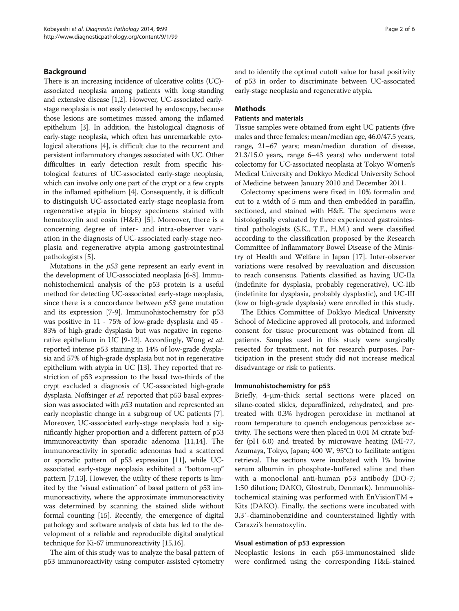#### Background

There is an increasing incidence of ulcerative colitis (UC) associated neoplasia among patients with long-standing and extensive disease [\[1,2\]](#page-5-0). However, UC-associated earlystage neoplasia is not easily detected by endoscopy, because those lesions are sometimes missed among the inflamed epithelium [\[3\]](#page-5-0). In addition, the histological diagnosis of early-stage neoplasia, which often has unremarkable cytological alterations [\[4\]](#page-5-0), is difficult due to the recurrent and persistent inflammatory changes associated with UC. Other difficulties in early detection result from specific histological features of UC-associated early-stage neoplasia, which can involve only one part of the crypt or a few crypts in the inflamed epithelium [[4](#page-5-0)]. Consequently, it is difficult to distinguish UC-associated early-stage neoplasia from regenerative atypia in biopsy specimens stained with hematoxylin and eosin (H&E) [[5\]](#page-5-0). Moreover, there is a concerning degree of inter- and intra-observer variation in the diagnosis of UC-associated early-stage neoplasia and regenerative atypia among gastrointestinal pathologists [\[5](#page-5-0)].

Mutations in the  $p53$  gene represent an early event in the development of UC-associated neoplasia [\[6-8](#page-5-0)]. Immunohistochemical analysis of the p53 protein is a useful method for detecting UC-associated early-stage neoplasia, since there is a concordance between  $p53$  gene mutation and its expression [[7-9\]](#page-5-0). Immunohistochemstry for p53 was positive in 11 - 75% of low-grade dysplasia and 45 - 83% of high-grade dysplasia but was negative in regenerative epithelium in UC [[9-12\]](#page-5-0). Accordingly, Wong et al. reported intense p53 staining in 14% of low-grade dysplasia and 57% of high-grade dysplasia but not in regenerative epithelium with atypia in UC [\[13\]](#page-5-0). They reported that restriction of p53 expression to the basal two-thirds of the crypt excluded a diagnosis of UC-associated high-grade dysplasia. Noffsinger et al. reported that p53 basal expression was associated with  $p53$  mutation and represented an early neoplastic change in a subgroup of UC patients [[7](#page-5-0)]. Moreover, UC-associated early-stage neoplasia had a significantly higher proportion and a different pattern of p53 immunoreactivity than sporadic adenoma [\[11,14](#page-5-0)]. The immunoreactivity in sporadic adenomas had a scattered or sporadic pattern of p53 expression [[11\]](#page-5-0), while UCassociated early-stage neoplasia exhibited a "bottom-up" pattern [[7,13](#page-5-0)]. However, the utility of these reports is limited by the "visual estimation" of basal pattern of p53 immunoreactivity, where the approximate immunoreactivity was determined by scanning the stained slide without formal counting [\[15\]](#page-5-0). Recently, the emergence of digital pathology and software analysis of data has led to the development of a reliable and reproducible digital analytical technique for Ki-67 immunoreactivity [[15,16\]](#page-5-0).

The aim of this study was to analyze the basal pattern of p53 immunoreactivity using computer-assisted cytometry and to identify the optimal cutoff value for basal positivity of p53 in order to discriminate between UC-associated early-stage neoplasia and regenerative atypia.

## Methods

#### Patients and materials

Tissue samples were obtained from eight UC patients (five males and three females; mean/median age, 46.0/47.5 years, range, 21–67 years; mean/median duration of disease, 21.3/15.0 years, range 6–43 years) who underwent total colectomy for UC-associated neoplasia at Tokyo Women's Medical University and Dokkyo Medical University School of Medicine between January 2010 and December 2011.

Colectomy specimens were fixed in 10% formalin and cut to a width of 5 mm and then embedded in paraffin, sectioned, and stained with H&E. The specimens were histologically evaluated by three experienced gastrointestinal pathologists (S.K., T.F., H.M.) and were classified according to the classification proposed by the Research Committee of Inflammatory Bowel Disease of the Ministry of Health and Welfare in Japan [\[17\]](#page-5-0). Inter-observer variations were resolved by reevaluation and discussion to reach consensus. Patients classified as having UC-IIa (indefinite for dysplasia, probably regenerative), UC-IIb (indefinite for dysplasia, probably dysplastic), and UC-III (low or high-grade dysplasia) were enrolled in this study.

The Ethics Committee of Dokkyo Medical University School of Medicine approved all protocols, and informed consent for tissue procurement was obtained from all patients. Samples used in this study were surgically resected for treatment, not for research purposes. Participation in the present study did not increase medical disadvantage or risk to patients.

#### Immunohistochemistry for p53

Briefly, 4-μm-thick serial sections were placed on silane-coated slides, deparaffinized, rehydrated, and pretreated with 0.3% hydrogen peroxidase in methanol at room temperature to quench endogenous peroxidase activity. The sections were then placed in 0.01 M citrate buffer (pH 6.0) and treated by microwave heating (MI-77, Azumaya, Tokyo, Japan; 400 W, 95°C) to facilitate antigen retrieval. The sections were incubated with 1% bovine serum albumin in phosphate-buffered saline and then with a monoclonal anti-human p53 antibody (DO-7; 1:50 dilution; DAKO, Glostrub, Denmark). Immunohistochemical staining was performed with EnVisionTM + Kits (DAKO). Finally, the sections were incubated with 3,3′-diaminobenzidine and counterstained lightly with Carazzi's hematoxylin.

#### Visual estimation of p53 expression

Neoplastic lesions in each p53-immunostained slide were confirmed using the corresponding H&E-stained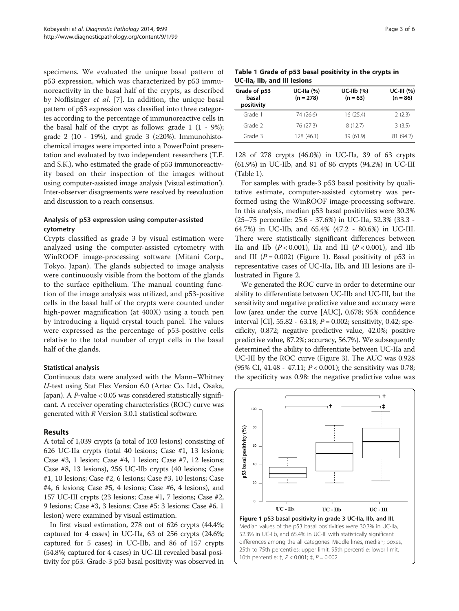specimens. We evaluated the unique basal pattern of p53 expression, which was characterized by p53 immunoreactivity in the basal half of the crypts, as described by Noffisinger et al. [[7\]](#page-5-0). In addition, the unique basal pattern of p53 expression was classified into three categories according to the percentage of immunoreactive cells in the basal half of the crypt as follows: grade  $1(1 - 9\%)$ ; grade 2 (10 - 19%), and grade 3 ( $\geq$ 20%). Immunohistochemical images were imported into a PowerPoint presentation and evaluated by two independent researchers (T.F. and S.K.), who estimated the grade of p53 immunoreactivity based on their inspection of the images without using computer-assisted image analysis ('visual estimation'). Inter-observer disagreements were resolved by reevaluation and discussion to a reach consensus.

# Analysis of p53 expression using computer-assisted cytometry

Crypts classified as grade 3 by visual estimation were analyzed using the computer-assisted cytometry with WinROOF image-processing software (Mitani Corp., Tokyo, Japan). The glands subjected to image analysis were continuously visible from the bottom of the glands to the surface epithelium. The manual counting function of the image analysis was utilized, and p53-positive cells in the basal half of the crypts were counted under high-power magnification (at 400X) using a touch pen by introducing a liquid crystal touch panel. The values were expressed as the percentage of p53-positive cells relative to the total number of crypt cells in the basal half of the glands.

# Statistical analysis

Continuous data were analyzed with the Mann–Whitney U-test using Stat Flex Version 6.0 (Artec Co. Ltd., Osaka, Japan). A P-value < 0.05 was considered statistically significant. A receiver operating characteristics (ROC) curve was generated with R Version 3.0.1 statistical software.

# Results

A total of 1,039 crypts (a total of 103 lesions) consisting of 626 UC-IIa crypts (total 40 lesions; Case #1, 13 lesions; Case #3, 1 lesion; Case #4, 1 lesion; Case #7, 12 lesions; Case #8, 13 lesions), 256 UC-IIb crypts (40 lesions; Case #1, 10 lesions; Case #2, 6 lesions; Case #3, 10 lesions; Case #4, 6 lesions; Case #5, 4 lesions; Case #6, 4 lesions), and 157 UC-III crypts (23 lesions; Case #1, 7 lesions; Case #2, 9 lesions; Case #3, 3 lesions; Case #5: 3 lesions; Case #6, 1 lesion) were examined by visual estimation.

In first visual estimation, 278 out of 626 crypts (44.4%; captured for 4 cases) in UC-IIa, 63 of 256 crypts (24.6%; captured for 5 cases) in UC-IIb, and 86 of 157 crypts (54.8%; captured for 4 cases) in UC-III revealed basal positivity for p53. Grade-3 p53 basal positivity was observed in

| Table 1 Grade of p53 basal positivity in the crypts in |  |
|--------------------------------------------------------|--|
| UC-IIa, IIb, and III lesions                           |  |

| Grade of p53<br>basal<br>positivity | $UC-IIa (%)$<br>$(n = 278)$ | $UC-Ilb$ (%)<br>$(n = 63)$ | <b>UC-III</b> (%)<br>$(n = 86)$ |  |
|-------------------------------------|-----------------------------|----------------------------|---------------------------------|--|
| Grade 1                             | 74 (26.6)                   | 16 (25.4)                  | 2(2.3)                          |  |
| Grade 2                             | 76 (27.3)                   | 8(12.7)                    | 3(3.5)                          |  |
| Grade 3                             | 128 (46.1)                  | 39 (61.9)                  | 81 (94.2)                       |  |

128 of 278 crypts (46.0%) in UC-IIa, 39 of 63 crypts (61.9%) in UC-IIb, and 81 of 86 crypts (94.2%) in UC-III (Table 1).

For samples with grade-3 p53 basal positivity by qualitative estimate, computer-assisted cytometry was performed using the WinROOF image-processing software. In this analysis, median p53 basal positivities were 30.3% (25–75 percentile: 25.6 - 37.6%) in UC-IIa, 52.3% (33.3 - 64.7%) in UC-IIb, and 65.4% (47.2 - 80.6%) in UC-III. There were statistically significant differences between IIa and IIb  $(P < 0.001)$ , IIa and III  $(P < 0.001)$ , and IIb and III  $(P = 0.002)$  (Figure 1). Basal positivity of p53 in representative cases of UC-IIa, IIb, and III lesions are illustrated in Figure [2.](#page-3-0)

We generated the ROC curve in order to determine our ability to differentiate between UC-IIb and UC-III, but the sensitivity and negative predictive value and accuracy were low (area under the curve [AUC], 0.678; 95% confidence interval [CI],  $55.82 - 63.18$ ;  $P = 0.002$ ; sensitivity, 0.42; specificity, 0.872; negative predictive value, 42.0%; positive predictive value, 87.2%; accuracy, 56.7%). We subsequently determined the ability to differentiate between UC-IIa and UC-III by the ROC curve (Figure [3](#page-4-0)). The AUC was 0.928 (95% CI, 41.48 - 47.11;  $P < 0.001$ ); the sensitivity was 0.78; the specificity was 0.98: the negative predictive value was



Median values of the p53 basal positivities were 30.3% in UC-IIa, 52.3% in UC-IIb, and 65.4% in UC-III with statistically significant differences among the all categories. Middle lines, median; boxes, 25th to 75th percentiles; upper limit, 95th percentile; lower limit, 10th percentile; †, P < 0.001; ‡, P = 0.002.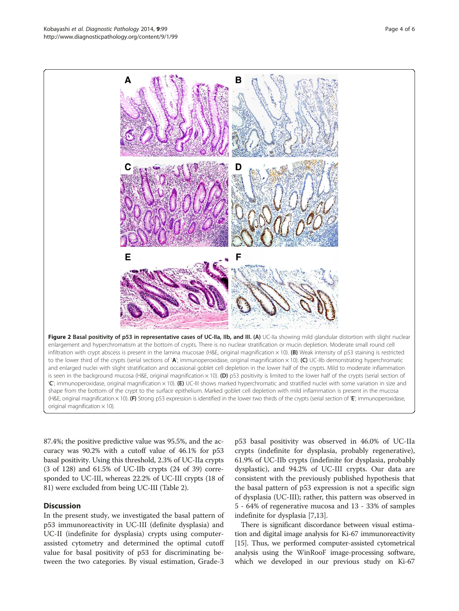87.4%; the positive predictive value was 95.5%, and the accuracy was 90.2% with a cutoff value of 46.1% for p53 basal positivity. Using this threshold, 2.3% of UC-IIa crypts (3 of 128) and 61.5% of UC-IIb crypts (24 of 39) corresponded to UC-III, whereas 22.2% of UC-III crypts (18 of 81) were excluded from being UC-III (Table [2\)](#page-4-0).

#### **Discussion**

In the present study, we investigated the basal pattern of p53 immunoreactivity in UC-III (definite dysplasia) and UC-II (indefinite for dysplasia) crypts using computerassisted cytometry and determined the optimal cutoff value for basal positivity of p53 for discriminating between the two categories. By visual estimation, Grade-3

p53 basal positivity was observed in 46.0% of UC-IIa crypts (indefinite for dysplasia, probably regenerative), 61.9% of UC-IIb crypts (indefinite for dysplasia, probably dysplastic), and 94.2% of UC-III crypts. Our data are consistent with the previously published hypothesis that the basal pattern of p53 expression is not a specific sign of dysplasia (UC-III); rather, this pattern was observed in 5 - 64% of regenerative mucosa and 13 - 33% of samples indefinite for dysplasia [\[7,13](#page-5-0)].

There is significant discordance between visual estimation and digital image analysis for Ki-67 immunoreactivity [[15](#page-5-0)]. Thus, we performed computer-assisted cytometrical analysis using the WinRooF image-processing software, which we developed in our previous study on Ki-67

<span id="page-3-0"></span>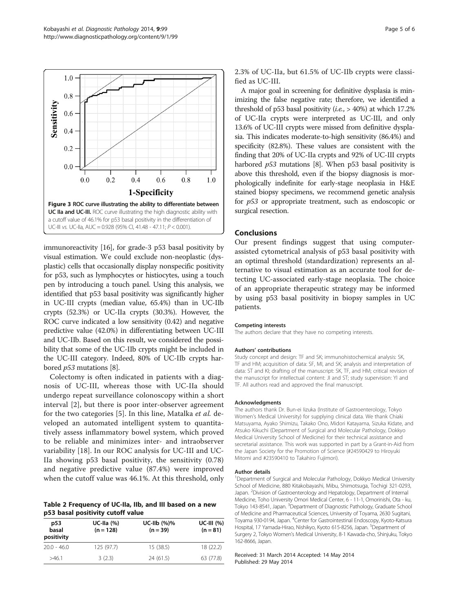<span id="page-4-0"></span>

immunoreactivity [\[16\]](#page-5-0), for grade-3 p53 basal positivity by visual estimation. We could exclude non-neoplastic (dysplastic) cells that occasionally display nonspecific positivity for p53, such as lymphocytes or histiocytes, using a touch pen by introducing a touch panel. Using this analysis, we identified that p53 basal positivity was significantly higher in UC-III crypts (median value, 65.4%) than in UC-IIb crypts (52.3%) or UC-IIa crypts (30.3%). However, the ROC curve indicated a low sensitivity (0.42) and negative predictive value (42.0%) in differentiating between UC-III and UC-IIb. Based on this result, we considered the possibility that some of the UC-IIb crypts might be included in the UC-III category. Indeed, 80% of UC-IIb crypts harbored p53 mutations [[8](#page-5-0)].

Colectomy is often indicated in patients with a diagnosis of UC-III, whereas those with UC-IIa should undergo repeat surveillance colonoscopy within a short interval [\[2](#page-5-0)], but there is poor inter-observer agreement for the two categories [\[5](#page-5-0)]. In this line, Matalka et al. developed an automated intelligent system to quantitatively assess inflammatory bowel system, which proved to be reliable and minimizes inter- and intraobserver variability [[18\]](#page-5-0). In our ROC analysis for UC-III and UC-IIa showing p53 basal positivity, the sensitivity (0.78) and negative predictive value (87.4%) were improved when the cutoff value was 46.1%. At this threshold, only

#### Table 2 Frequency of UC-IIa, IIb, and III based on a new p53 basal positivity cutoff value

| p53<br>basal<br>positivity | UC-IIa $(%)$<br>$(n = 128)$ | UC-IIb $(%)\%$<br>$(n = 39)$ | $UC-III (%)$<br>$(n = 81)$ |
|----------------------------|-----------------------------|------------------------------|----------------------------|
| $20.0 - 46.0$              | 125(97.7)                   | 15(38.5)                     | 18 (22.2)                  |
| >461                       | 3(2.3)                      | 24(61.5)                     | 63 (77.8)                  |

2.3% of UC-IIa, but 61.5% of UC-IIb crypts were classified as UC-III.

A major goal in screening for definitive dysplasia is minimizing the false negative rate; therefore, we identified a threshold of p53 basal positivity  $(i.e., > 40\%)$  at which 17.2% of UC-IIa crypts were interpreted as UC-III, and only 13.6% of UC-III crypts were missed from definitive dysplasia. This indicates moderate-to-high sensitivity (86.4%) and specificity (82.8%). These values are consistent with the finding that 20% of UC-IIa crypts and 92% of UC-III crypts harbored *p53* mutations [\[8\]](#page-5-0). When p53 basal positivity is above this threshold, even if the biopsy diagnosis is morphologically indefinite for early-stage neoplasia in H&E stained biopsy specimens, we recommend genetic analysis for p53 or appropriate treatment, such as endoscopic or surgical resection.

## Conclusions

Our present findings suggest that using computerassisted cytometrical analysis of p53 basal positivity with an optimal threshold (standardization) represents an alternative to visual estimation as an accurate tool for detecting UC-associated early-stage neoplasia. The choice of an appropriate therapeutic strategy may be informed by using p53 basal positivity in biopsy samples in UC patients.

#### Competing interests

The authors declare that they have no competing interests.

#### Authors' contributions

Study concept and design: TF and SK; immunohistochemical analysis: SK, TF and HM; acquisition of data: SF, MI, and SK; analysis and interpretation of data: ST and KI; drafting of the manuscript: SK, TF, and HM; critical revision of the manuscript for intellectual content: JI and ST; study supervision: YI and TF. All authors read and approved the final manuscript.

#### Acknowledgments

The authors thank Dr. Bun-ei Iizuka (Institute of Gastroenterology, Tokyo Women's Medical University) for supplying clinical data. We thank Chiaki Matsuyama, Ayako Shimizu, Takako Ono, Midori Katayama, Sizuka Kidate, and Atsuko Kikuchi (Department of Surgical and Molecular Pathology, Dokkyo Medical University School of Medicine) for their technical assistance and secretarial assistance. This work was supported in part by a Grant-in-Aid from the Japan Society for the Promotion of Science (#24590429 to Hiroyuki Mitomi and #23590410 to Takahiro Fujimori).

#### Author details

<sup>1</sup>Department of Surgical and Molecular Pathology, Dokkyo Medical University School of Medicine, 880 Kitakobayashi, Mibu, Shimotsuga, Tochigi 321-0293, Japan. <sup>2</sup> Division of Gastroenterology and Hepatology, Department of Internal Medicine, Toho University Omori Medical Center, 6 - 11-1, Omorinishi, Ota - ku, Tokyo 143-8541, Japan. <sup>3</sup>Department of Diagnostic Pathology, Graduate School of Medicine and Pharmaceutical Sciences, University of Toyama, 2630 Sugitani, Toyama 930-0194, Japan. <sup>4</sup>Center for Gastrointestinal Endoscopy, Kyoto-Katsura Hospital, 17 Yamada-Hirao, Nishikyo, Kyoto 615-8256, Japan. <sup>5</sup>Department of Surgery 2, Tokyo Women's Medical University, 8-1 Kawada-cho, Shinjuku, Tokyo 162-8666, Japan.

#### Received: 31 March 2014 Accepted: 14 May 2014 Published: 29 May 2014